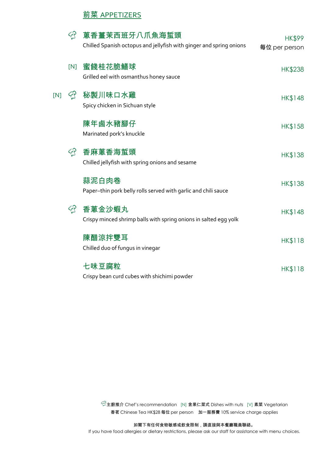#### **前菜 APPETIZERS**

| අ   |     | 蔥香薑茉西班牙八爪魚海蜇頭<br>Chilled Spanish octopus and jellyfish with ginger and spring onions | <b>HK\$99</b><br>每位 per person |
|-----|-----|--------------------------------------------------------------------------------------|--------------------------------|
|     | [N] | 蜜餞桂花脆鱔球<br>Grilled eel with osmanthus honey sauce                                    | <b>HK\$238</b>                 |
| [N] | ඇ   | 秘製川味口水雞<br>Spicy chicken in Sichuan style                                            | HK\$148                        |
|     |     | 陳年鹵水豬腳仔<br>Marinated pork's knuckle                                                  | HK\$158                        |
|     |     | 香麻蔥香海蜇頭<br>Chilled jellyfish with spring onions and sesame                           | HK\$138                        |
|     |     | 蒜泥白肉卷<br>Paper-thin pork belly rolls served with garlic and chili sauce              | <b>HK\$138</b>                 |
| ඇ   |     | 香蔥金沙蝦丸<br>Crispy minced shrimp balls with spring onions in salted egg yolk           | <b>HK\$148</b>                 |
|     |     | 陳醋涼拌雙耳<br>Chilled duo of fungus in vinegar                                           | HK\$118                        |
|     |     | 七味豆腐粒<br>Crispy bean curd cubes with shichimi powder                                 | HK\$118                        |

 $\widehat{\heartsuit}$ 主廚推介 Chef's recommendation [N] 含果仁菜式 Dishes with nuts [V] 素菜 Vegetarian 香茗 Chinese Tea HK\$28 每位 per person 加一服務費 10% service charge applies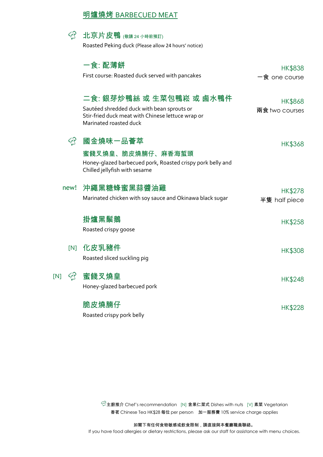#### 明爐燒烤 BARBECUED MEAT



 $\widehat{\mathbb{C}}$ 主廚推介 Chef's recommendation [N] 含果仁菜式 Dishes with nuts [V] 素菜 Vegetarian 香茗 Chinese Tea HK\$28 每位 per person 加一服務費 10% service charge applies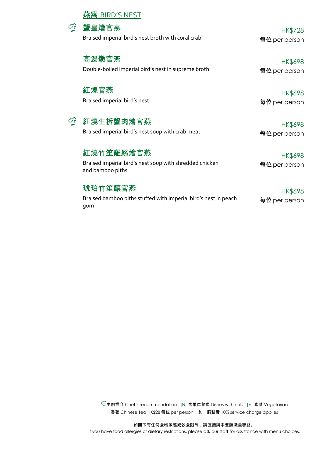#### 燕窩 BIRD'S NEST



Braised imperial bird's nest broth with coral crab **有** and the set per person

 $\circ$  蟹皇燴官燕 HK\$728

高湯燉官燕 HK\$698 Double-boiled imperial bird's nest in supreme broth **有位 per person** 

紅燒官燕 HK\$698

Braised imperial bird's nest and the set of the set of the set of the set of the set of the set of the set of t

 $\widehat{C}$  紅燒生拆蟹肉燴官燕 HK\$698

Braised imperial bird's nest soup with crab meat **有** and the set of per person

# 紅燒竹笙雞絲燴官燕 インファイル インタックス しゅうしょう はんじょう はんじょう はんじょう はんじょう はんじょう はんじょう はんじょう にんしゃ はんしゃ はんしゃ はんしゃ はんしゃ はんしゃ はんしゃ はんしゃ

Braised imperial bird's nest soup with shredded chicken and bamboo piths

# 琥珀竹笙釀官燕 HK\$698

Braised bamboo piths stuffed with imperial bird's nest in peach gum

每位 per person

每位 per person

 $\widehat{\mathbb{C}}$ 主廚推介 Chef's recommendation [N] 含果仁菜式 Dishes with nuts [V] 素菜 Vegetarian 香茗 Chinese Tea HK\$28 每位 per person 加一服務費 10% service charge applies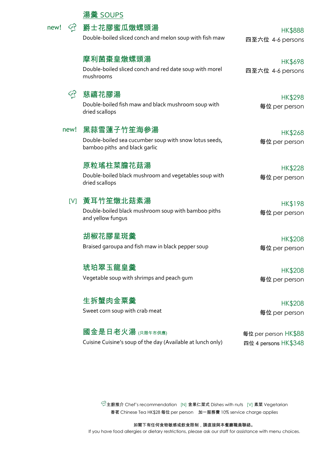|       | 湯羹 SOUPS                                                                                              |                                    |  |
|-------|-------------------------------------------------------------------------------------------------------|------------------------------------|--|
| new!  | 爵士花膠蜜瓜燉螺頭湯<br>Double-boiled sliced conch and melon soup with fish maw                                 | <b>HK\$888</b><br>四至六位 4-6 persons |  |
|       | 摩利菌棗皇燉螺頭湯<br>Double-boiled sliced conch and red date soup with morel<br>mushrooms                     | <b>HK\$698</b><br>四至六位 4-6 persons |  |
| كالمح | 慈禧花膠湯<br>Double-boiled fish maw and black mushroom soup with<br>dried scallops                        | HK\$298<br>每位 per person           |  |
| new!  | 黑蒜雪蓮子竹笙海參湯<br>Double-boiled sea cucumber soup with snow lotus seeds,<br>bamboo piths and black garlic | <b>HK\$268</b><br>每位 per person    |  |
|       | 原粒瑤柱菜膽花菇湯<br>Double-boiled black mushroom and vegetables soup with<br>dried scallops                  | <b>HK\$228</b><br>每位 per person    |  |
|       | Ⅳ]黃耳竹笙燉北菇素湯<br>Double-boiled black mushroom soup with bamboo piths<br>and yellow fungus               | <b>HK\$198</b><br>每位 per person    |  |
|       | 胡椒花膠星斑羹<br>Braised garoupa and fish maw in black pepper soup                                          | <b>HK\$208</b><br>每位 per person    |  |
|       | 琥珀翠玉龍皇羹<br>Vegetable soup with shrimps and peach gum                                                  | <b>HK\$208</b><br>每位 per person    |  |
|       | 生拆蟹肉金粟羹<br>Sweet corn soup with crab meat                                                             | <b>HK\$208</b><br>每位 per person    |  |

國金是日老火湯 (只限午市供應) ● 南位 per person HK\$88 Cuisine Cuisine's soup of the day (Available at lunch only) 四位 4 persons HK\$348

主廚推介 Chef's recommendation [N] 含果仁菜式 Dishes with nuts [V] 素菜 Vegetarian 香茗 Chinese Tea HK\$28 每位 per person 加一服務費 10% service charge applies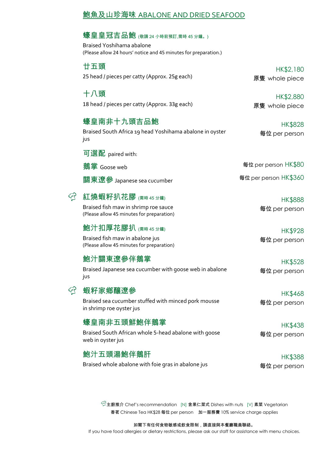|     | 鮑魚及山珍海味 ABALONE A <u>ND DRIED SEAFOOD</u>                                                                                       |                                 |  |
|-----|---------------------------------------------------------------------------------------------------------------------------------|---------------------------------|--|
|     | 蠔皇皇冠吉品鮑 (敬請 24 小時前預訂,需時 45 分鐘。)<br>Braised Yoshihama abalone<br>(Please allow 24 hours' notice and 45 minutes for preparation.) |                                 |  |
|     | 廿五頭<br>25 head / pieces per catty (Approx. 25g each)                                                                            | HK\$2,180<br>原隻 whole piece     |  |
|     | 十八頭<br>18 head / pieces per catty (Approx. 33g each)                                                                            | HK\$2,880<br>原隻 whole piece     |  |
|     | 蠔皇南非十九頭吉品鮑<br>Braised South Africa 19 head Yoshihama abalone in oyster<br>jus                                                   | HK\$828<br>每位 per person        |  |
|     | 可選配 paired with:                                                                                                                |                                 |  |
|     | 鵝掌 Goose web                                                                                                                    | 每位 per person HK\$80            |  |
|     | 關東遼參 Japanese sea cucumber                                                                                                      | 每位 per person HK\$360           |  |
| حہی | 紅燒蝦籽扒花膠 <sub>儒時45分鐘)</sub><br>Braised fish maw in shrimp roe sauce<br>(Please allow 45 minutes for preparation)                 | <b>HK\$888</b><br>每位 per person |  |
|     | 鮑汁扣厚花膠扒 <sub>(需時 45分鐘)</sub><br>Braised fish maw in abalone jus<br>(Please allow 45 minutes for preparation)                    | <b>HK\$928</b><br>每位 per person |  |
|     | 鮑汁關東遼參伴鵝掌<br>Braised Japanese sea cucumber with goose web in abalone<br>jus                                                     | HK\$528<br>每位 per person        |  |
|     | 蝦籽家鄉釀遼參<br>Braised sea cucumber stuffed with minced pork mousse<br>in shrimp roe oyster jus                                     | <b>HK\$468</b><br>每位 per person |  |
|     | 蠔皇南非五頭鮮鮑伴鵝掌<br>Braised South African whole 5-head abalone with goose<br>web in oyster jus                                       | <b>HK\$438</b><br>每位 per person |  |
|     | 鮑汁五頭湯鮑伴鵝肝<br>Braised whole abalone with foie gras in abalone jus                                                                | HK\$388<br>每位 per person        |  |

 $\widehat{\heartsuit}$ 主廚推介 Chef's recommendation [N] 含果仁菜式 Dishes with nuts [V] 素菜 Vegetarian 香茗 Chinese Tea HK\$28 每位 per person 加一服務費 10% service charge applies

如閣下有任何食物敏感或飲食限制,請直接與本餐廳職員聯絡。

If you have food allergies or dietary restrictions, please ask our staff for assistance with menu choices.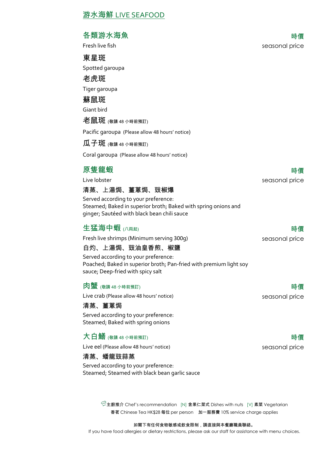#### 各類游水海魚 きょうしゃ しょうしゃ しゅうしゃ あいしゃ 時價 しゅうしょく しゅうしょく

東星斑

Spotted garoupa

老虎斑 Tiger garoupa

蘇鼠斑

Giant bird

老鼠斑 (敬請 48 小時前預訂)

Pacific garoupa (Please allow 48 hours' notice)

 $\mathbf{\overline{M}}$   $\div$   $\mathbf{\overline{W}}$  (敬請 48 小時前預訂)

Coral garoupa (Please allow 48 hours' notice)

## 原隻龍蝦 うちょう しょうしょう しょうかん しゅうしょう 時價 はんちょう しゅうしょく

Live lobster seasonal price

清蒸、上湯焗、薑蔥焗、豉椒爆

Served according to your preference: Steamed; Baked in superior broth; Baked with spring onions and ginger; Sautéed with black bean chili sauce

#### 生猛海中蝦 (八両起) 時價

Fresh live shrimps (Minimum serving 300g) seasonal price

#### 白灼、上湯焗、豉油皇香煎、椒鹽

Served according to your preference: Poached; Baked in superior broth; Pan-fried with premium light soy sauce; Deep-fried with spicy salt

#### $\mathbf{\hat{\boxtimes}}$  (敬請 48 小時前預訂) きょうしょうしゃ こうしゃ はんしゃ はんしゃ はんしゃ 時價

Live crab (Please allow 48 hours' notice) example a seasonal price

清蒸、薑蔥焗

Served according to your preference: Steamed; Baked with spring onions

### 大白鱔  $\alpha$  .  $\alpha$  ,  $\alpha$  ,  $\alpha$  ,  $\alpha$  ,  $\alpha$  ,  $\alpha$  ,  $\alpha$  ,  $\alpha$  ,  $\alpha$  , and  $\alpha$  ,  $\alpha$  ,  $\alpha$  ,  $\alpha$  ,  $\alpha$  ,  $\alpha$  ,  $\alpha$  ,  $\alpha$  ,  $\alpha$  ,  $\alpha$  ,  $\alpha$  ,  $\alpha$  ,  $\alpha$  ,  $\alpha$  ,  $\alpha$  ,  $\alpha$  ,  $\alpha$  ,  $\alpha$  ,  $\alpha$  ,  $\alpha$  ,  $\$

Live eel (Please allow 48 hours' notice) and a seasonal price seasonal price

#### 清蒸、蟠龍豉蒜蒸

Served according to your preference: Steamed; Steamed with black bean garlic sauce

> $\mathbb{C}^2$ 主廚推介 Chef's recommendation [N] 含果仁菜式 Dishes with nuts [V] 素菜 Vegetarian 香茗 Chinese Tea HK\$28 每位 per person 加一服務費 10% service charge applies

#### 如閣下有任何食物敏感或飲食限制,請直接與本餐廳職員聯絡。

If you have food allergies or dietary restrictions, please ask our staff for assistance with menu choices.

# Fresh live fish seasonal price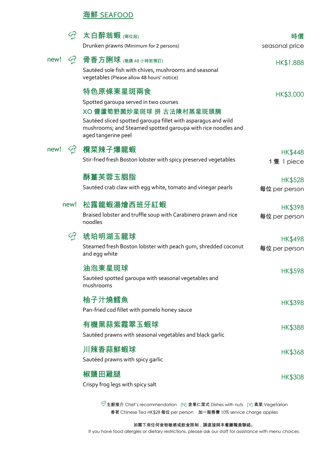#### 海鮮 SEAFOOD

|              | 太白醉翁蝦 (兩位起)<br>Drunken prawns (Minimum for 2 persons)                                                                                                                                                                                  | 時價<br>seasonal price            |
|--------------|----------------------------------------------------------------------------------------------------------------------------------------------------------------------------------------------------------------------------------------|---------------------------------|
| new!<br>نههع | 骨香方脷球 (敬請 48 小時前預訂)<br>Sautéed sole fish with chives, mushrooms and seasonal<br>vegetables (Please allow 48 hours' notice)                                                                                                             | HK\$1,888                       |
|              | 特色原條東星斑兩食<br>Spotted garoupa served in two courses<br>XO 醬蘆筍野菌炒星斑球 拼 古法陳村蒸星斑頭腩<br>Sautéed sliced spotted garoupa fillet with asparagus and wild<br>mushrooms; and Steamed spotted garoupa with rice noodles and<br>aged tangerine peel | HK\$3,000                       |
| new!         | 欖菜辣子爆龍蝦<br>Stir-fried fresh Boston lobster with spicy preserved vegetables                                                                                                                                                             | <b>HK\$448</b><br>1隻 1 piece    |
|              | 酥薑芙蓉玉胭脂<br>Sautéed crab claw with egg white, tomato and vinegar pearls                                                                                                                                                                 | <b>HK\$528</b><br>每位 per person |
| new!         | 松露龍蝦湯燴西班牙紅蝦<br>Braised lobster and truffle soup with Carabinero prawn and rice<br>noodles                                                                                                                                              | <b>HK\$398</b><br>每位 per person |
| تهجم         | 琥珀明湖玉龍球<br>Steamed fresh Boston lobster with peach gum, shredded coconut<br>and egg white                                                                                                                                              | HK\$498<br>每位 per person        |
|              | 油泡東星斑球<br>Sautéed spotted garoupa with seasonal vegetables and<br>mushrooms                                                                                                                                                            | <b>HK\$598</b>                  |
|              | 柚子汁燒鱈魚<br>Pan-fried cod fillet with pomelo honey sauce                                                                                                                                                                                 | HK\$398                         |
|              | 有機黑蒜紫霞翠玉蝦球<br>Sautéed prawns with seasonal vegetables and black garlic                                                                                                                                                                 | <b>HK\$388</b>                  |
|              | 川辣香蒜鮮蝦球<br>Sautéed prawns with spicy garlic                                                                                                                                                                                            | <b>HK\$368</b>                  |
|              | 椒鹽田雞腿<br>Crispy frog legs with spicy salt                                                                                                                                                                                              | <b>HK\$308</b>                  |

 $\widehat{\heartsuit}$ 主廚推介 Chef's recommendation [N] 含果仁菜式 Dishes with nuts [V] 素菜 Vegetarian 香茗 Chinese Tea HK\$28 每位 per person 加一服務費 10% service charge applies

如閣下有任何食物敏感或飲食限制,請直接與本餐廳職員聯絡。

If you have food allergies or dietary restrictions, please ask our staff for assistance with menu choices.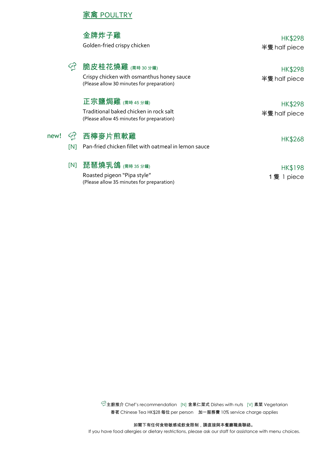#### 家禽 POULTRY

|      |      | 金牌炸子雞                                                                                                              |               |
|------|------|--------------------------------------------------------------------------------------------------------------------|---------------|
|      |      |                                                                                                                    | HK\$298       |
|      |      | Golden-fried crispy chicken                                                                                        | 半隻 half piece |
|      | حهيع | 脆皮桂花燒雞 $\left(\begin{smallmatrix} \mathbf{\Xi}_{\mathbf{B}} & \mathbf{\Xi}_{\mathbf{B}} \end{smallmatrix} \right)$ | HK\$298       |
|      |      | Crispy chicken with osmanthus honey sauce                                                                          | 半隻 half piece |
|      |      | (Please allow 30 minutes for preparation)                                                                          |               |
|      |      | 正宗鹽焗雞 (需時 45分鐘)                                                                                                    | HK\$298       |
|      |      | Traditional baked chicken in rock salt                                                                             | 半隻 half piece |
|      |      | (Please allow 45 minutes for preparation)                                                                          |               |
| new! | দে   | 西檸麥片煎軟雞                                                                                                            | HK\$268       |
|      | [N]  | Pan-fried chicken fillet with oatmeal in lemon sauce                                                               |               |
|      | [N]  | 琵琶燒乳鴿 <sub>儒時35分鐘)</sub>                                                                                           | HK\$198       |
|      |      | Roasted pigeon "Pipa style"                                                                                        | 1隻 1 piece    |
|      |      | (Please allow 35 minutes for preparation)                                                                          |               |

主廚推介 Chef's recommendation [N] 含果仁菜式 Dishes with nuts [V] 素菜 Vegetarian 香茗 Chinese Tea HK\$28 每位 per person 加一服務費 10% service charge applies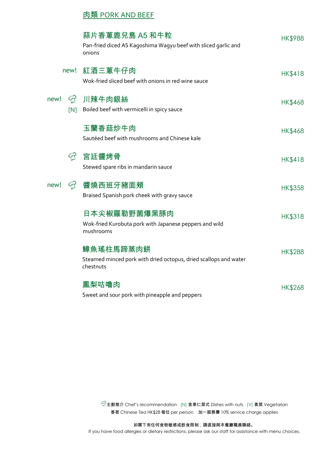#### 肉類 PORK AND BEEF

|      |          | 蒜片香蔥鹿兒島 A5 和牛粒<br>Pan-fried diced A5 Kagoshima Wagyu beef with sliced garlic and<br>onions | <b>HK\$988</b> |
|------|----------|--------------------------------------------------------------------------------------------|----------------|
|      | new!     | 紅酒三蔥牛仔肉<br>Wok-fried sliced beef with onions in red wine sauce                             | <b>HK\$418</b> |
| new! | ඇ<br>[N] | 川辣牛肉銀絲<br>Boiled beef with vermicelli in spicy sauce                                       | <b>HK\$468</b> |
|      |          | 玉蘭香菇炒牛肉<br>Sautéed beef with mushrooms and Chinese kale                                    | <b>HK\$468</b> |
|      | ඇ        | 宮廷醬烤骨<br>Stewed spare ribs in mandarin sauce                                               | <b>HK\$418</b> |
| new! | تهجيج    | 醬燒西班牙豬面頰<br>Braised Spanish pork cheek with gravy sauce                                    | <b>HK\$358</b> |
|      |          | 日本尖椒羅勒野菌爆黑豚肉<br>Wok-fried Kurobuta pork with Japanese peppers and wild<br>mushrooms        | <b>HK\$318</b> |
|      |          | 鱆魚瑤柱馬蹄蒸肉餅<br>Steamed minced pork with dried octopus, dried scallops and water<br>chestnuts | <b>HK\$288</b> |
|      |          | 鳳梨咕嚕肉<br>Sweet and sour pork with pineapple and peppers                                    | HK\$268        |

主廚推介 Chef's recommendation [N] 含果仁菜式 Dishes with nuts [V] 素菜 Vegetarian 香茗 Chinese Tea HK\$28 每位 per person 加一服務費 10% service charge applies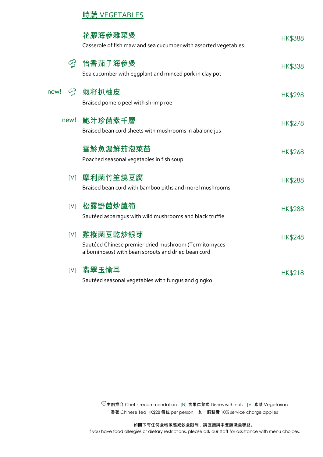# 時蔬 VEGETABLES

|      | 花膠海參雜菜煲<br>Casserole of fish maw and sea cucumber with assorted vegetables                                              | <b>HK\$388</b> |
|------|-------------------------------------------------------------------------------------------------------------------------|----------------|
|      | ☑ 怡香茄子海參煲<br>Sea cucumber with eggplant and minced pork in clay pot                                                     | <b>HK\$338</b> |
| new! | ☆ 蝦籽扒柚皮<br>Braised pomelo peel with shrimp roe                                                                          | <b>HK\$298</b> |
| new! | 鮑汁珍菌素千層<br>Braised bean curd sheets with mushrooms in abalone jus                                                       | <b>HK\$278</b> |
|      | 雪魿魚湯鮮茄泡菜苗<br>Poached seasonal vegetables in fish soup                                                                   | <b>HK\$268</b> |
|      | Ⅳ] 摩利菌竹笙燒豆腐<br>Braised bean curd with bamboo piths and morel mushrooms                                                  | <b>HK\$288</b> |
|      | Ⅳ 松露野菌炒蘆筍<br>Sautéed asparagus with wild mushrooms and black truffle                                                    | <b>HK\$288</b> |
| [V]  | 雞樅菌豆乾炒銀芽<br>Sautéed Chinese premier dried mushroom (Termitornyces<br>albuminosus) with bean sprouts and dried bean curd | <b>HK\$248</b> |
|      | [V] 翡翠玉愉耳<br>Sautéed seasonal vegetables with fungus and gingko                                                         | <b>HK\$218</b> |

 $\widehat{\heartsuit}$ 主廚推介 Chef's recommendation [N] 含果仁菜式 Dishes with nuts [V] 素菜 Vegetarian 香茗 Chinese Tea HK\$28 每位 per person 加一服務費 10% service charge applies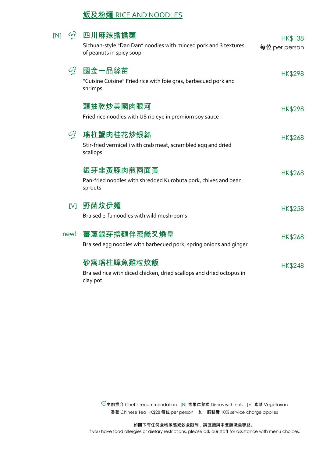### 飯及粉麵 RICE AND NOODLES

| [N] |      | 四川麻辣擔擔麵<br>Sichuan-style "Dan Dan" noodles with minced pork and 3 textures<br>of peanuts in spicy soup | HK\$138<br>每位 per person |
|-----|------|--------------------------------------------------------------------------------------------------------|--------------------------|
|     |      | 國金一品絲苗<br>"Cuisine Cuisine" Fried rice with foie gras, barbecued pork and<br>shrimps                   | <b>HK\$298</b>           |
|     |      | 頭抽乾炒美國肉眼河<br>Fried rice noodles with US rib eye in premium soy sauce                                   | <b>HK\$298</b>           |
|     | ඇ    | 瑤柱蟹肉桂花炒銀絲<br>Stir-fried vermicelli with crab meat, scrambled egg and dried<br>scallops                 | <b>HK\$268</b>           |
|     |      | 銀芽韭黃豚肉煎兩面黃<br>Pan-fried noodles with shredded Kurobuta pork, chives and bean<br>sprouts                | <b>HK\$268</b>           |
|     |      | Ⅳ]野菌炆伊麵<br>Braised e-fu noodles with wild mushrooms                                                    | <b>HK\$258</b>           |
|     | new! | 薑蔥銀芽撈麵伴蜜餞叉燒皇<br>Braised egg noodles with barbecued pork, spring onions and ginger                      | <b>HK\$268</b>           |
|     |      | 砂窩瑤柱鱆魚雞粒炆飯<br>Braised rice with diced chicken, dried scallops and dried octopus in<br>clay pot         | <b>HK\$248</b>           |

主廚推介 Chef's recommendation [N] 含果仁菜式 Dishes with nuts [V] 素菜 Vegetarian 香茗 Chinese Tea HK\$28 每位 per person 加一服務費 10% service charge applies